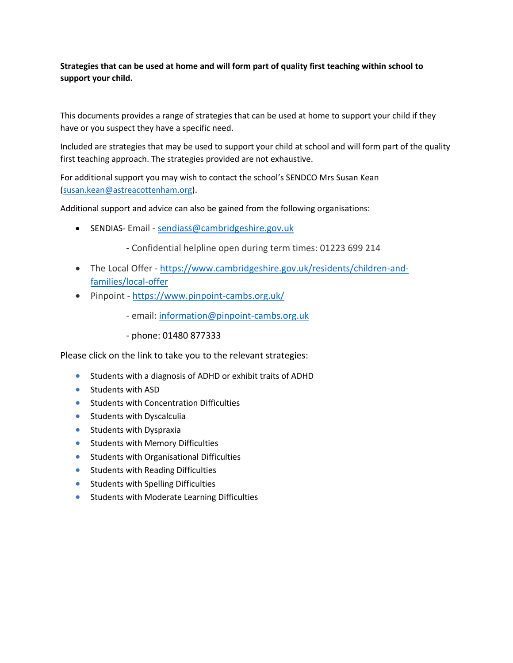#### **Strategies that can be used at home and will form part of quality first teaching within school to support your child.**

This documents provides a range of strategies that can be used at home to support your child if they have or you suspect they have a specific need.

Included are strategies that may be used to support your child at school and will form part of the quality first teaching approach. The strategies provided are not exhaustive.

For additional support you may wish to contact the school's SENDCO Mrs Susan Kean [\(susan.kean@astreacottenham.org\)](mailto:susan.kean@astreacottenham.org).

Additional support and advice can also be gained from the following organisations:

• SENDIAS- Email - [sendiass@cambridgeshire.gov.uk](mailto:sendiass@cambridgeshire.gov.uk)

- Confidential helpline open during term times: 01223 699 214

- The Local Offer [https://www.cambridgeshire.gov.uk/residents/children-and](https://www.cambridgeshire.gov.uk/residents/children-and-families/local-offer)[families/local-offer](https://www.cambridgeshire.gov.uk/residents/children-and-families/local-offer)
- Pinpoint <https://www.pinpoint-cambs.org.uk/>
	- email: [information@pinpoint-cambs.org.uk](mailto:information@pinpoint-cambs.org.uk)
	- phone: 01480 877333

Please click on the link to take you to the relevant strategies:

- [Students with a diagnosis of ADHD or exhibit traits of ADHD](#page-1-0)
- [Students with ASD](#page-2-0)
- [Students with Concentration Difficulties](#page-3-0)
- [Students with Dyscalculia](#page-4-0)
- [Students with Dyspraxia](#page-5-0)
- [Students with Memory Difficulties](#page-6-0)
- [Students with Organisational Difficulties](#page-7-0)
- [Students with Reading Difficulties](#page-8-0)
- [Students with Spelling Difficulties](#page-9-0)
- [Students with Moderate Learning Difficulties](#page-10-0)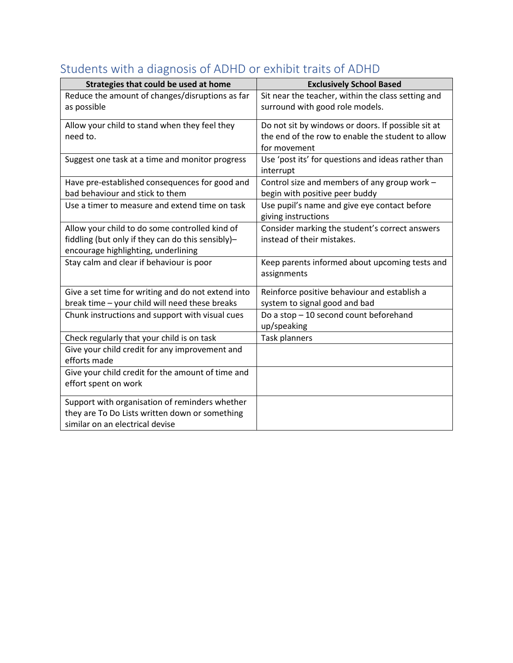| Strategies that could be used at home                                             | <b>Exclusively School Based</b>                                                                         |
|-----------------------------------------------------------------------------------|---------------------------------------------------------------------------------------------------------|
| Reduce the amount of changes/disruptions as far                                   | Sit near the teacher, within the class setting and                                                      |
| as possible                                                                       | surround with good role models.                                                                         |
|                                                                                   |                                                                                                         |
| Allow your child to stand when they feel they<br>need to.                         | Do not sit by windows or doors. If possible sit at<br>the end of the row to enable the student to allow |
|                                                                                   | for movement                                                                                            |
|                                                                                   |                                                                                                         |
| Suggest one task at a time and monitor progress                                   | Use 'post its' for questions and ideas rather than                                                      |
|                                                                                   | interrupt                                                                                               |
| Have pre-established consequences for good and<br>bad behaviour and stick to them | Control size and members of any group work -                                                            |
|                                                                                   | begin with positive peer buddy                                                                          |
| Use a timer to measure and extend time on task                                    | Use pupil's name and give eye contact before                                                            |
|                                                                                   | giving instructions                                                                                     |
| Allow your child to do some controlled kind of                                    | Consider marking the student's correct answers                                                          |
| fiddling (but only if they can do this sensibly)-                                 | instead of their mistakes.                                                                              |
| encourage highlighting, underlining                                               |                                                                                                         |
| Stay calm and clear if behaviour is poor                                          | Keep parents informed about upcoming tests and                                                          |
|                                                                                   | assignments                                                                                             |
| Give a set time for writing and do not extend into                                | Reinforce positive behaviour and establish a                                                            |
| break time - your child will need these breaks                                    | system to signal good and bad                                                                           |
| Chunk instructions and support with visual cues                                   | Do a stop - 10 second count beforehand                                                                  |
|                                                                                   | up/speaking                                                                                             |
| Check regularly that your child is on task                                        | <b>Task planners</b>                                                                                    |
| Give your child credit for any improvement and                                    |                                                                                                         |
| efforts made                                                                      |                                                                                                         |
| Give your child credit for the amount of time and                                 |                                                                                                         |
| effort spent on work                                                              |                                                                                                         |
|                                                                                   |                                                                                                         |
| Support with organisation of reminders whether                                    |                                                                                                         |
| they are To Do Lists written down or something                                    |                                                                                                         |
| similar on an electrical devise                                                   |                                                                                                         |

## <span id="page-1-0"></span>Students with a diagnosis of ADHD or exhibit traits of ADHD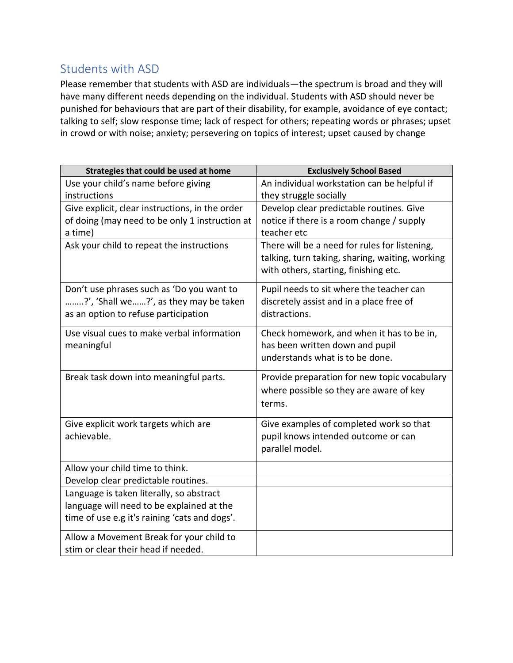#### <span id="page-2-0"></span>Students with ASD

Please remember that students with ASD are individuals—the spectrum is broad and they will have many different needs depending on the individual. Students with ASD should never be punished for behaviours that are part of their disability, for example, avoidance of eye contact; talking to self; slow response time; lack of respect for others; repeating words or phrases; upset in crowd or with noise; anxiety; persevering on topics of interest; upset caused by change

| Strategies that could be used at home           | <b>Exclusively School Based</b>                 |
|-------------------------------------------------|-------------------------------------------------|
| Use your child's name before giving             | An individual workstation can be helpful if     |
| instructions                                    | they struggle socially                          |
| Give explicit, clear instructions, in the order | Develop clear predictable routines. Give        |
| of doing (may need to be only 1 instruction at  | notice if there is a room change / supply       |
| a time)                                         | teacher etc                                     |
| Ask your child to repeat the instructions       | There will be a need for rules for listening,   |
|                                                 | talking, turn taking, sharing, waiting, working |
|                                                 | with others, starting, finishing etc.           |
| Don't use phrases such as 'Do you want to       | Pupil needs to sit where the teacher can        |
| ?', 'Shall we?', as they may be taken           | discretely assist and in a place free of        |
| as an option to refuse participation            | distractions.                                   |
| Use visual cues to make verbal information      | Check homework, and when it has to be in,       |
| meaningful                                      | has been written down and pupil                 |
|                                                 | understands what is to be done.                 |
| Break task down into meaningful parts.          | Provide preparation for new topic vocabulary    |
|                                                 | where possible so they are aware of key         |
|                                                 | terms.                                          |
| Give explicit work targets which are            | Give examples of completed work so that         |
| achievable.                                     | pupil knows intended outcome or can             |
|                                                 | parallel model.                                 |
| Allow your child time to think.                 |                                                 |
| Develop clear predictable routines.             |                                                 |
| Language is taken literally, so abstract        |                                                 |
| language will need to be explained at the       |                                                 |
| time of use e.g it's raining 'cats and dogs'.   |                                                 |
| Allow a Movement Break for your child to        |                                                 |
| stim or clear their head if needed.             |                                                 |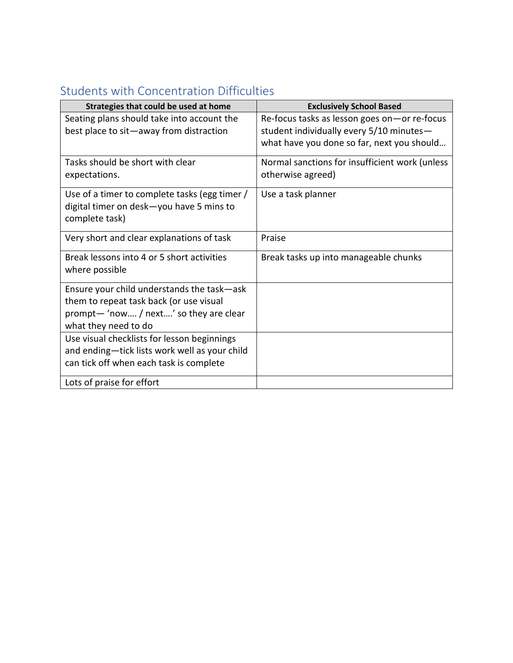| Strategies that could be used at home         | <b>Exclusively School Based</b>                |
|-----------------------------------------------|------------------------------------------------|
| Seating plans should take into account the    | Re-focus tasks as lesson goes on-or re-focus   |
| best place to sit-away from distraction       | student individually every 5/10 minutes-       |
|                                               | what have you done so far, next you should     |
| Tasks should be short with clear              | Normal sanctions for insufficient work (unless |
| expectations.                                 | otherwise agreed)                              |
| Use of a timer to complete tasks (egg timer / | Use a task planner                             |
| digital timer on desk-you have 5 mins to      |                                                |
| complete task)                                |                                                |
| Very short and clear explanations of task     | Praise                                         |
| Break lessons into 4 or 5 short activities    | Break tasks up into manageable chunks          |
| where possible                                |                                                |
| Ensure your child understands the task-ask    |                                                |
| them to repeat task back (or use visual       |                                                |
| prompt-'now / next' so they are clear         |                                                |
| what they need to do                          |                                                |
| Use visual checklists for lesson beginnings   |                                                |
| and ending-tick lists work well as your child |                                                |
| can tick off when each task is complete       |                                                |
| Lots of praise for effort                     |                                                |

### <span id="page-3-0"></span>Students with Concentration Difficulties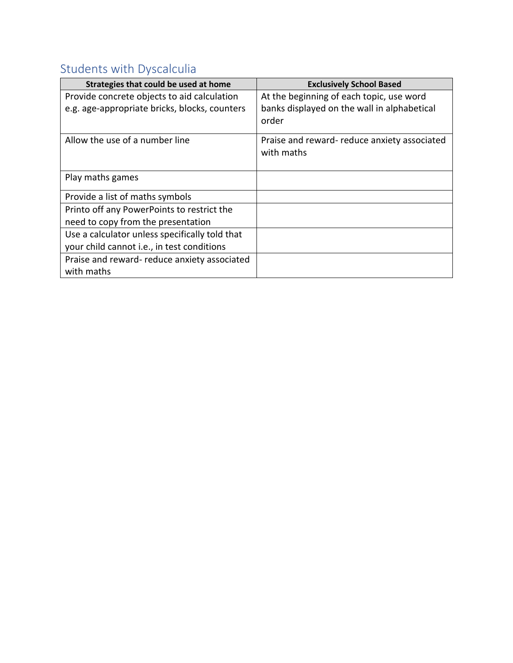## <span id="page-4-0"></span>Students with Dyscalculia

| Strategies that could be used at home          | <b>Exclusively School Based</b>             |
|------------------------------------------------|---------------------------------------------|
| Provide concrete objects to aid calculation    | At the beginning of each topic, use word    |
| e.g. age-appropriate bricks, blocks, counters  | banks displayed on the wall in alphabetical |
|                                                | order                                       |
| Allow the use of a number line                 | Praise and reward-reduce anxiety associated |
|                                                | with maths                                  |
|                                                |                                             |
| Play maths games                               |                                             |
| Provide a list of maths symbols                |                                             |
| Printo off any PowerPoints to restrict the     |                                             |
| need to copy from the presentation             |                                             |
| Use a calculator unless specifically told that |                                             |
| your child cannot i.e., in test conditions     |                                             |
| Praise and reward- reduce anxiety associated   |                                             |
| with maths                                     |                                             |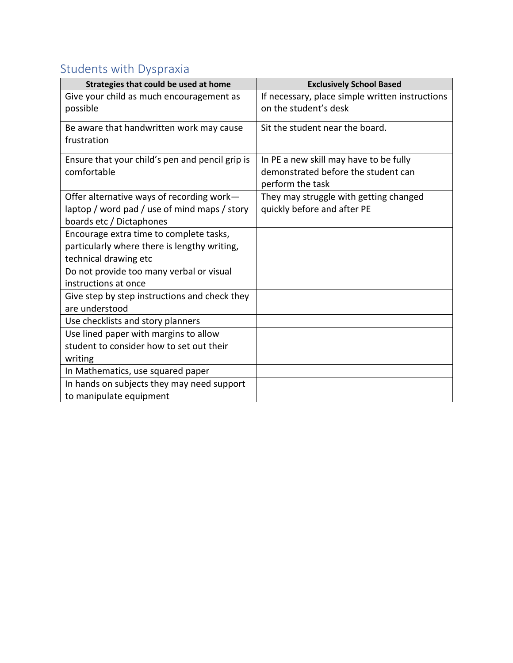## <span id="page-5-0"></span>Students with Dyspraxia

| Strategies that could be used at home           | <b>Exclusively School Based</b>                 |
|-------------------------------------------------|-------------------------------------------------|
| Give your child as much encouragement as        | If necessary, place simple written instructions |
| possible                                        | on the student's desk                           |
| Be aware that handwritten work may cause        | Sit the student near the board.                 |
| frustration                                     |                                                 |
| Ensure that your child's pen and pencil grip is | In PE a new skill may have to be fully          |
| comfortable                                     | demonstrated before the student can             |
|                                                 | perform the task                                |
| Offer alternative ways of recording work-       | They may struggle with getting changed          |
| laptop / word pad / use of mind maps / story    | quickly before and after PE                     |
| boards etc / Dictaphones                        |                                                 |
| Encourage extra time to complete tasks,         |                                                 |
| particularly where there is lengthy writing,    |                                                 |
| technical drawing etc                           |                                                 |
| Do not provide too many verbal or visual        |                                                 |
| instructions at once                            |                                                 |
| Give step by step instructions and check they   |                                                 |
| are understood                                  |                                                 |
| Use checklists and story planners               |                                                 |
| Use lined paper with margins to allow           |                                                 |
| student to consider how to set out their        |                                                 |
| writing                                         |                                                 |
| In Mathematics, use squared paper               |                                                 |
| In hands on subjects they may need support      |                                                 |
| to manipulate equipment                         |                                                 |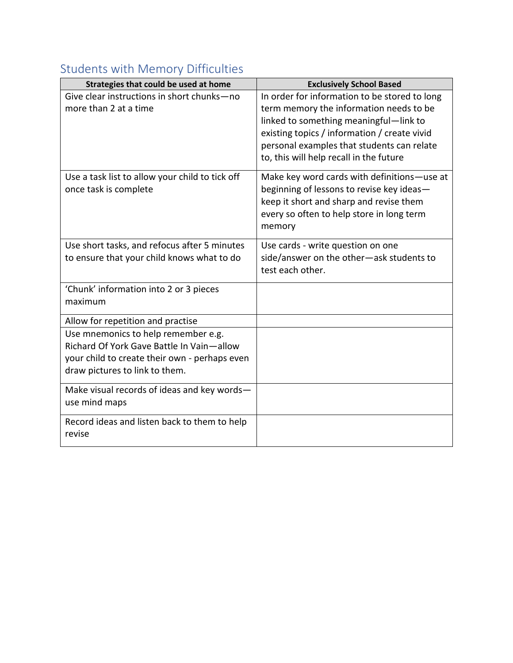### <span id="page-6-0"></span>Students with Memory Difficulties

| Strategies that could be used at home                                                                                                                               | <b>Exclusively School Based</b>                                                                                                                                                                                                                                             |
|---------------------------------------------------------------------------------------------------------------------------------------------------------------------|-----------------------------------------------------------------------------------------------------------------------------------------------------------------------------------------------------------------------------------------------------------------------------|
| Give clear instructions in short chunks-no<br>more than 2 at a time                                                                                                 | In order for information to be stored to long<br>term memory the information needs to be<br>linked to something meaningful-link to<br>existing topics / information / create vivid<br>personal examples that students can relate<br>to, this will help recall in the future |
| Use a task list to allow your child to tick off<br>once task is complete                                                                                            | Make key word cards with definitions-use at<br>beginning of lessons to revise key ideas-<br>keep it short and sharp and revise them<br>every so often to help store in long term<br>memory                                                                                  |
| Use short tasks, and refocus after 5 minutes<br>to ensure that your child knows what to do                                                                          | Use cards - write question on one<br>side/answer on the other-ask students to<br>test each other.                                                                                                                                                                           |
| 'Chunk' information into 2 or 3 pieces<br>maximum                                                                                                                   |                                                                                                                                                                                                                                                                             |
| Allow for repetition and practise                                                                                                                                   |                                                                                                                                                                                                                                                                             |
| Use mnemonics to help remember e.g.<br>Richard Of York Gave Battle In Vain-allow<br>your child to create their own - perhaps even<br>draw pictures to link to them. |                                                                                                                                                                                                                                                                             |
| Make visual records of ideas and key words-<br>use mind maps                                                                                                        |                                                                                                                                                                                                                                                                             |
| Record ideas and listen back to them to help<br>revise                                                                                                              |                                                                                                                                                                                                                                                                             |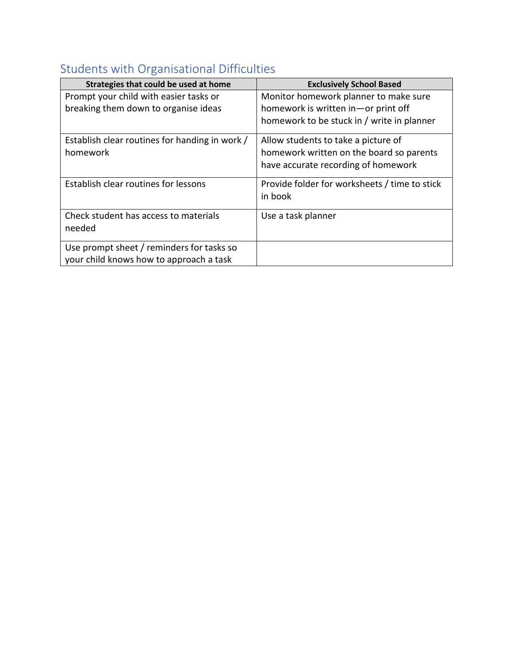## <span id="page-7-0"></span>Students with Organisational Difficulties

| Strategies that could be used at home          | <b>Exclusively School Based</b>               |
|------------------------------------------------|-----------------------------------------------|
| Prompt your child with easier tasks or         | Monitor homework planner to make sure         |
| breaking them down to organise ideas           | homework is written in-or print off           |
|                                                | homework to be stuck in / write in planner    |
| Establish clear routines for handing in work / | Allow students to take a picture of           |
| homework                                       | homework written on the board so parents      |
|                                                | have accurate recording of homework           |
| Establish clear routines for lessons           | Provide folder for worksheets / time to stick |
|                                                | in book                                       |
| Check student has access to materials          | Use a task planner                            |
| needed                                         |                                               |
| Use prompt sheet / reminders for tasks so      |                                               |
| your child knows how to approach a task        |                                               |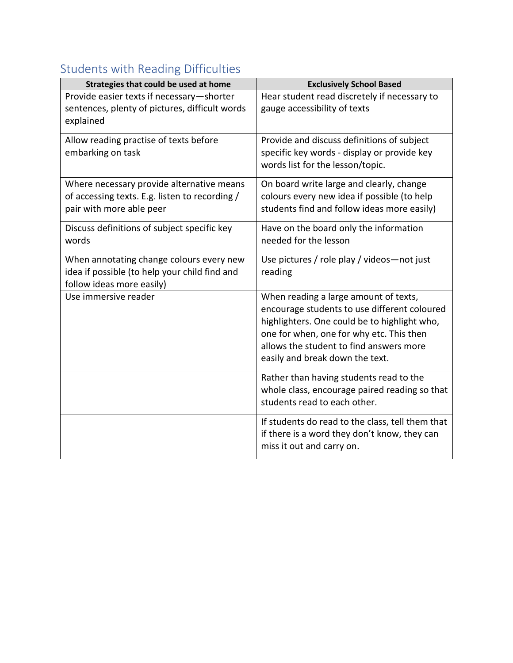# <span id="page-8-0"></span>Students with Reading Difficulties

| Strategies that could be used at home                                                                                   | <b>Exclusively School Based</b>                                                                                                                                                                                                                                 |
|-------------------------------------------------------------------------------------------------------------------------|-----------------------------------------------------------------------------------------------------------------------------------------------------------------------------------------------------------------------------------------------------------------|
| Provide easier texts if necessary-shorter<br>sentences, plenty of pictures, difficult words<br>explained                | Hear student read discretely if necessary to<br>gauge accessibility of texts                                                                                                                                                                                    |
| Allow reading practise of texts before<br>embarking on task                                                             | Provide and discuss definitions of subject<br>specific key words - display or provide key<br>words list for the lesson/topic.                                                                                                                                   |
| Where necessary provide alternative means<br>of accessing texts. E.g. listen to recording /<br>pair with more able peer | On board write large and clearly, change<br>colours every new idea if possible (to help<br>students find and follow ideas more easily)                                                                                                                          |
| Discuss definitions of subject specific key<br>words                                                                    | Have on the board only the information<br>needed for the lesson                                                                                                                                                                                                 |
| When annotating change colours every new<br>idea if possible (to help your child find and<br>follow ideas more easily)  | Use pictures / role play / videos-not just<br>reading                                                                                                                                                                                                           |
| Use immersive reader                                                                                                    | When reading a large amount of texts,<br>encourage students to use different coloured<br>highlighters. One could be to highlight who,<br>one for when, one for why etc. This then<br>allows the student to find answers more<br>easily and break down the text. |
|                                                                                                                         | Rather than having students read to the<br>whole class, encourage paired reading so that<br>students read to each other.                                                                                                                                        |
|                                                                                                                         | If students do read to the class, tell them that<br>if there is a word they don't know, they can<br>miss it out and carry on.                                                                                                                                   |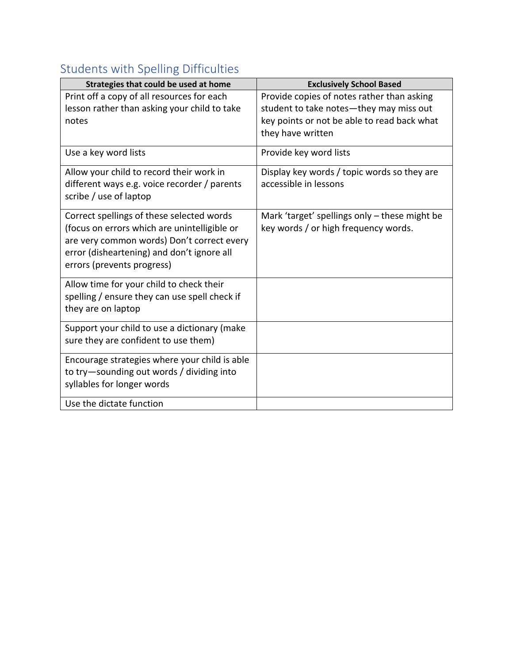## <span id="page-9-0"></span>Students with Spelling Difficulties

| Strategies that could be used at home                                                                                                                                                                               | <b>Exclusively School Based</b>                                                                                                                           |
|---------------------------------------------------------------------------------------------------------------------------------------------------------------------------------------------------------------------|-----------------------------------------------------------------------------------------------------------------------------------------------------------|
| Print off a copy of all resources for each<br>lesson rather than asking your child to take<br>notes                                                                                                                 | Provide copies of notes rather than asking<br>student to take notes-they may miss out<br>key points or not be able to read back what<br>they have written |
| Use a key word lists                                                                                                                                                                                                | Provide key word lists                                                                                                                                    |
| Allow your child to record their work in<br>different ways e.g. voice recorder / parents<br>scribe / use of laptop                                                                                                  | Display key words / topic words so they are<br>accessible in lessons                                                                                      |
| Correct spellings of these selected words<br>(focus on errors which are unintelligible or<br>are very common words) Don't correct every<br>error (disheartening) and don't ignore all<br>errors (prevents progress) | Mark 'target' spellings only - these might be<br>key words / or high frequency words.                                                                     |
| Allow time for your child to check their<br>spelling / ensure they can use spell check if<br>they are on laptop                                                                                                     |                                                                                                                                                           |
| Support your child to use a dictionary (make<br>sure they are confident to use them)                                                                                                                                |                                                                                                                                                           |
| Encourage strategies where your child is able<br>to try-sounding out words / dividing into<br>syllables for longer words                                                                                            |                                                                                                                                                           |
| Use the dictate function                                                                                                                                                                                            |                                                                                                                                                           |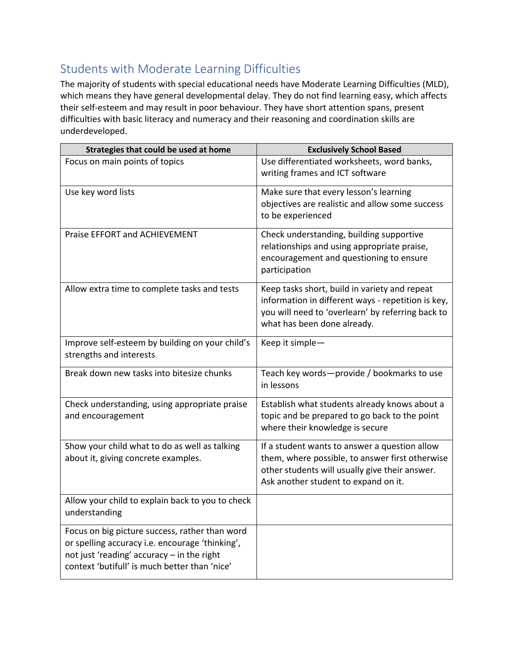#### <span id="page-10-0"></span>Students with Moderate Learning Difficulties

The majority of students with special educational needs have Moderate Learning Difficulties (MLD), which means they have general developmental delay. They do not find learning easy, which affects their self-esteem and may result in poor behaviour. They have short attention spans, present difficulties with basic literacy and numeracy and their reasoning and coordination skills are underdeveloped.

| Strategies that could be used at home                                                                                                                                                            | <b>Exclusively School Based</b>                                                                                                                                                            |
|--------------------------------------------------------------------------------------------------------------------------------------------------------------------------------------------------|--------------------------------------------------------------------------------------------------------------------------------------------------------------------------------------------|
| Focus on main points of topics                                                                                                                                                                   | Use differentiated worksheets, word banks,<br>writing frames and ICT software                                                                                                              |
| Use key word lists                                                                                                                                                                               | Make sure that every lesson's learning<br>objectives are realistic and allow some success<br>to be experienced                                                                             |
| Praise EFFORT and ACHIEVEMENT                                                                                                                                                                    | Check understanding, building supportive<br>relationships and using appropriate praise,<br>encouragement and questioning to ensure<br>participation                                        |
| Allow extra time to complete tasks and tests                                                                                                                                                     | Keep tasks short, build in variety and repeat<br>information in different ways - repetition is key,<br>you will need to 'overlearn' by referring back to<br>what has been done already.    |
| Improve self-esteem by building on your child's<br>strengths and interests                                                                                                                       | Keep it simple-                                                                                                                                                                            |
| Break down new tasks into bitesize chunks                                                                                                                                                        | Teach key words-provide / bookmarks to use<br>in lessons                                                                                                                                   |
| Check understanding, using appropriate praise<br>and encouragement                                                                                                                               | Establish what students already knows about a<br>topic and be prepared to go back to the point<br>where their knowledge is secure                                                          |
| Show your child what to do as well as talking<br>about it, giving concrete examples.                                                                                                             | If a student wants to answer a question allow<br>them, where possible, to answer first otherwise<br>other students will usually give their answer.<br>Ask another student to expand on it. |
| Allow your child to explain back to you to check<br>understanding                                                                                                                                |                                                                                                                                                                                            |
| Focus on big picture success, rather than word<br>or spelling accuracy i.e. encourage 'thinking',<br>not just 'reading' accuracy - in the right<br>context 'butifull' is much better than 'nice' |                                                                                                                                                                                            |